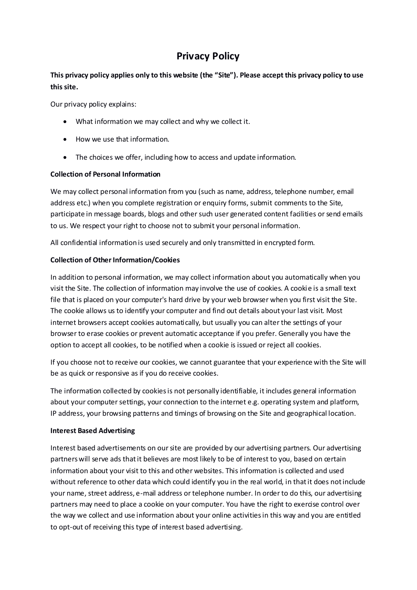# **Privacy Policy**

## **This privacy policy applies only to this website (the "Site"). Please accept this privacy policy to use this site.**

Our privacy policy explains:

- What information we may collect and why we collect it.
- How we use that information.
- The choices we offer, including how to access and update information.

#### **Collection of Personal Information**

We may collect personal information from you (such as name, address, telephone number, email address etc.) when you complete registration or enquiry forms, submit comments to the Site, participate in message boards, blogs and other such user generated content facilities or send emails to us. We respect your right to choose not to submit your personal information.

All confidential information is used securely and only transmitted in encrypted form.

### **Collection of Other Information/Cookies**

In addition to personal information, we may collect information about you automatically when you visit the Site. The collection of information may involve the use of cookies. A cookie is a small text file that is placed on your computer's hard drive by your web browser when you first visit the Site. The cookie allows us to identify your computer and find out details about your last visit. Most internet browsers accept cookies automatically, but usually you can alter the settings of your browser to erase cookies or prevent automatic acceptance if you prefer. Generally you have the option to accept all cookies, to be notified when a cookie is issued or reject all cookies.

If you choose not to receive our cookies, we cannot guarantee that your experience with the Site will be as quick or responsive as if you do receive cookies.

The information collected by cookies is not personally identifiable, it includes general information about your computer settings, your connection to the internet e.g. operating system and platform, IP address, your browsing patterns and timings of browsing on the Site and geographical location.

#### **Interest Based Advertising**

Interest based advertisements on our site are provided by our advertising partners. Our advertising partners will serve ads that it believes are most likely to be of interest to you, based on certain information about your visit to this and other websites. This information is collected and used without reference to other data which could identify you in the real world, in that it does not include your name, street address, e-mail address or telephone number. In order to do this, our advertising partners may need to place a cookie on your computer. You have the right to exercise control over the way we collect and use information about your online activities in this way and you are entitled to opt-out of receiving this type of interest based advertising.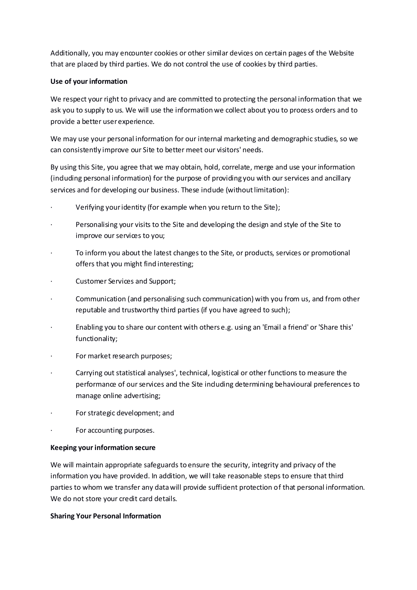Additionally, you may encounter cookies or other similar devices on certain pages of the Website that are placed by third parties. We do not control the use of cookies by third parties.

#### **Use of your information**

We respect your right to privacy and are committed to protecting the personal information that we ask you to supply to us. We will use the information we collect about you to process orders and to provide a better user experience.

We may use your personal information for our internal marketing and demographic studies, so we can consistently improve our Site to better meet our visitors' needs.

By using this Site, you agree that we may obtain, hold, correlate, merge and use your information (including personal information) for the purpose of providing you with our services and ancillary services and for developing our business. These indude (without limitation):

- Verifying your identity (for example when you return to the Site);
- · Personalising your visits to the Site and developing the design and style of the Site to improve our services to you;
- · To inform you about the latest changes to the Site, or products, services or promotional offers that you might find interesting;
- Customer Services and Support;
- Communication (and personalising such communication) with you from us, and from other reputable and trustworthy third parties (if you have agreed to such);
- · Enabling you to share our content with others e.g. using an 'Email a friend' or 'Share this' functionality;
- For market research purposes;
- · Carrying out statistical analyses', technical, logistical or other functions to measure the performance of our services and the Site induding determining behavioural preferences to manage online advertising;
- For strategic development; and
- For accounting purposes.

#### **Keeping your information secure**

We will maintain appropriate safeguards to ensure the security, integrity and privacy of the information you have provided. In addition, we will take reasonable steps to ensure that third parties to whom we transfer any data will provide sufficient protection of that personal information. We do not store your credit card details.

#### **Sharing Your Personal Information**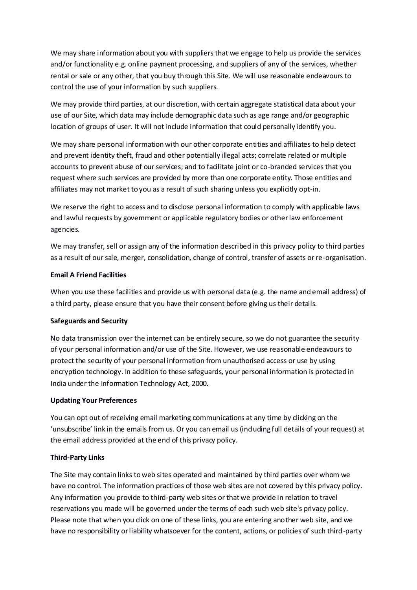We may share information about you with suppliers that we engage to help us provide the services and/or functionality e.g. online payment processing, and suppliers of any of the services, whether rental or sale or any other, that you buy through this Site. We will use reasonable endeavours to control the use of your information by such suppliers.

We may provide third parties, at our discretion, with certain aggregate statistical data about your use of our Site, which data may include demographic data such as age range and/or geographic location of groups of user. It will not include information that could personally identify you.

We may share personal information with our other corporate entities and affiliates to help detect and prevent identity theft, fraud and other potentially illegal acts; correlate related or multiple accounts to prevent abuse of our services; and to facilitate joint or co-branded services that you request where such services are provided by more than one corporate entity. Those entities and affiliates may not market to you as a result of such sharing unless you explicitly opt-in.

We reserve the right to access and to disclose personal information to comply with applicable laws and lawful requests by government or applicable regulatory bodies or other law enforcement agencies.

We may transfer, sell or assign any of the information described in this privacy policy to third parties as a result of our sale, merger, consolidation, change of control, transfer of assets or re-organisation.

#### **Email A Friend Facilities**

When you use these facilities and provide us with personal data (e.g. the name and email address) of a third party, please ensure that you have their consent before giving us their details.

#### **Safeguards and Security**

No data transmission over the internet can be entirely secure, so we do not guarantee the security of your personal information and/or use of the Site. However, we use reasonable endeavours to protect the security of your personal information from unauthorised access or use by using encryption technology. In addition to these safeguards, your personal information is protected in India under the Information Technology Act, 2000.

#### **Updating Your Preferences**

You can opt out of receiving email marketing communications at any time by dicking on the 'unsubscribe' link in the emails from us. Or you can email us (induding full details of your request) at the email address provided at the end of this privacy policy.

#### **Third-Party Links**

The Site may contain links to web sites operated and maintained by third parties over whom we have no control. The information practices of those web sites are not covered by this privacy policy. Any information you provide to third-party web sites or that we provide in relation to travel reservations you made will be governed under the terms of each such web site's privacy policy. Please note that when you click on one of these links, you are entering another web site, and we have no responsibility or liability whatsoever for the content, actions, or policies of such third-party